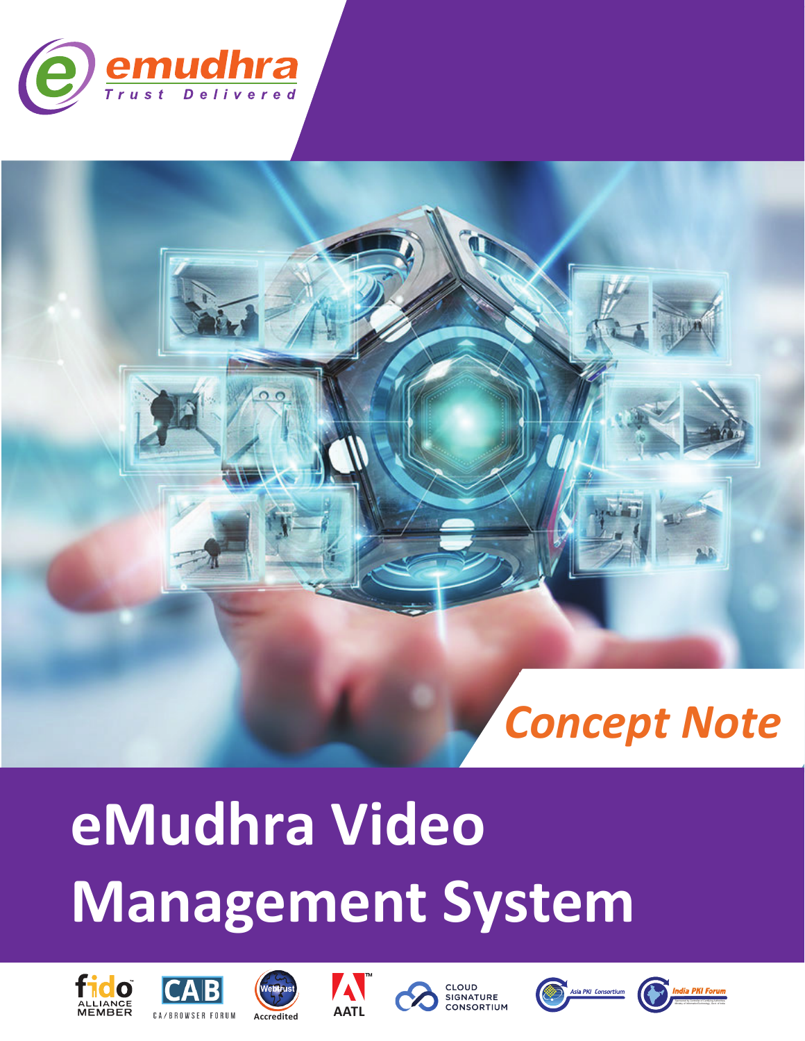



# **eMudhra Video Management System**













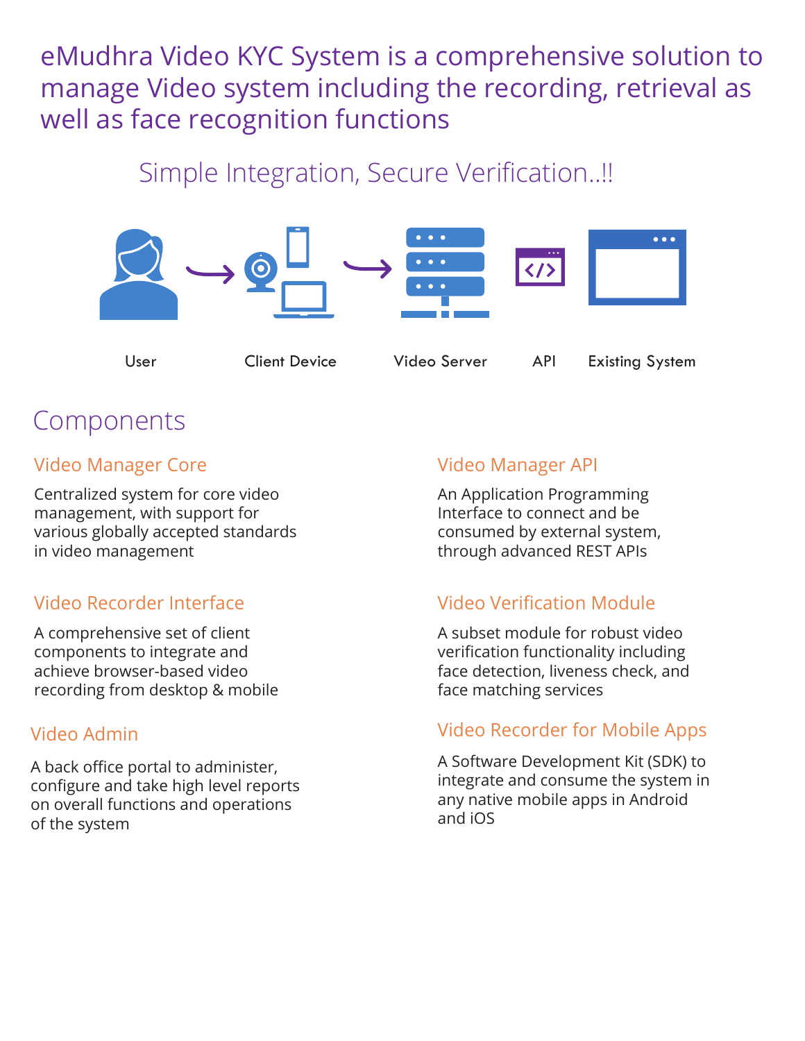eMudhra Video KYC System is a comprehensive solution to manage Video system including the recording, retrieval as well as face recognition functions

### Simple Integration, Secure Verification..!!



User Client Device Video Server API Existing System

## Components

#### Video Manager Core

Centralized system for core video management, with support for various globally accepted standards in video management

#### Video Recorder Interface

A comprehensive set of client components to integrate and achieve browser-based video recording from desktop & mobile

#### Video Admin

A back office portal to administer, configure and take high level reports on overall functions and operations of the system

#### Video Manager API

An Application Programming Interface to connect and be consumed by external system, through advanced REST APIs

#### Video Verification Module

A subset module for robust video verification functionality including face detection, liveness check, and face matching services

#### Video Recorder for Mobile Apps

A Software Development Kit (SDK) to integrate and consume the system in any native mobile apps in Android and iOS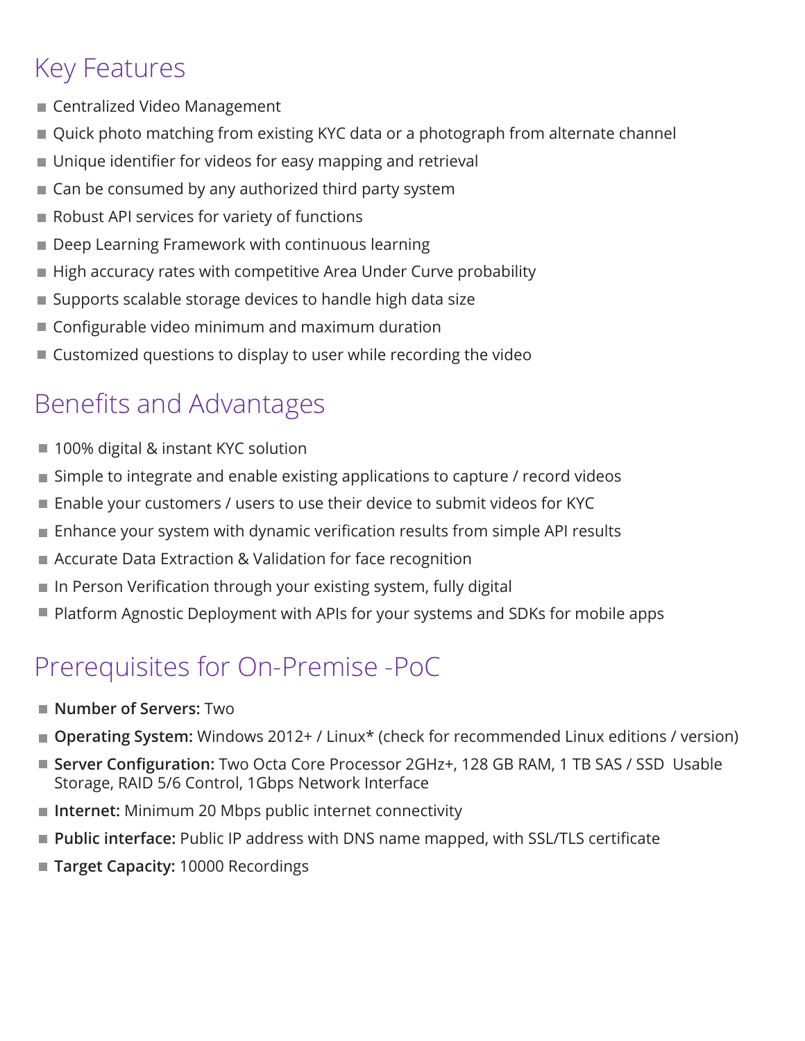## Key Features

- Centralized Video Management
- Quick photo matching from existing KYC data or a photograph from alternate channel
- Unique identifier for videos for easy mapping and retrieval
- Can be consumed by any authorized third party system
- Robust API services for variety of functions
- **Deep Learning Framework with continuous learning**
- High accuracy rates with competitive Area Under Curve probability
- Supports scalable storage devices to handle high data size
- Configurable video minimum and maximum duration
- Customized questions to display to user while recording the video

# Benefits and Advantages

- 100% digital & instant KYC solution
- Simple to integrate and enable existing applications to capture / record videos
- Enable your customers / users to use their device to submit videos for KYC
- Enhance your system with dynamic verification results from simple API results m.
- Accurate Data Extraction & Validation for face recognition
- In Person Verification through your existing system, fully digital
- Platform Agnostic Deployment with APIs for your systems and SDKs for mobile apps

## Prerequisites for On-Premise -PoC

- **Number of Servers:** Two
- **Operating System:** Windows 2012+ / Linux<sup>\*</sup> (check for recommended Linux editions / version)
- Server Configuration: Two Octa Core Processor 2GHz+, 128 GB RAM, 1 TB SAS / SSD Usable Storage, RAID 5/6 Control, 1Gbps Network Interface
- Internet: Minimum 20 Mbps public internet connectivity
- **Public interface:** Public IP address with DNS name mapped, with SSL/TLS certificate
- Target Capacity: 10000 Recordings